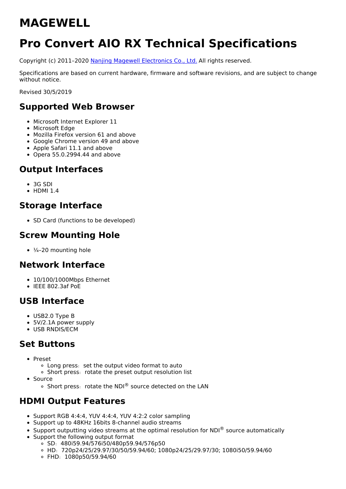# **MAGEWELL**

# **Pro Convert AIO RX Technical Specifications**

Copyright (c) 2011–2020 Nanjing Magewell [Electronics](http://www.magewell.com) Co., Ltd. All rights reserved.

Specifications are based on current hardware, firmware and software revisions, and are subject to change without notice.

Revised 30/5/2019

## **Supported Web Browser**

- Microsoft Internet Explorer 11
- Microsoft Edge
- Mozilla Firefox version 61 and above
- Google Chrome version 49 and above
- Apple Safari 11.1 and above
- $\bullet$  Opera 55.0.2994.44 and above

# **Output Interfaces**

- 3G SDI
- $\bullet$  HDMI 1.4

# **Storage Interface**

• SD Card (functions to be developed)

# **Screw Mounting Hole**

 $\cdot$   $\frac{1}{4}$ -20 mounting hole

### **Network Interface**

- 10/100/1000Mbps Ethernet
- $\cdot$  IEEE 802.3af PoE

# **USB Interface**

- USB2.0 Type B
- 5V/2.1A power supply
- USB RNDIS/ECM

# **Set Buttons**

- Preset
	- o Long press: set the output video format to auto
	- . Short press: rotate the preset output resolution list
- Source
	- $\circ$  Short press: rotate the NDI® source detected on the LAN

# **HDMI Output Features**

- Support RGB 4:4:4, YUV 4:4:4, YUV 4:2:2 color sampling
- Support up to 48KHz 16bits 8-channel audio streams
- Support outputting video streams at the optimal resolution for NDI $^{\circledR}$  source automatically
- Support the following output format
	- $\circ$  SD: 480i59.94/576i50/480p59.94/576p50
	- HD:720p24/25/29.97/30/50/59.94/60; 1080p24/25/29.97/30; 1080i50/59.94/60
	- FHD:1080p50/59.94/60